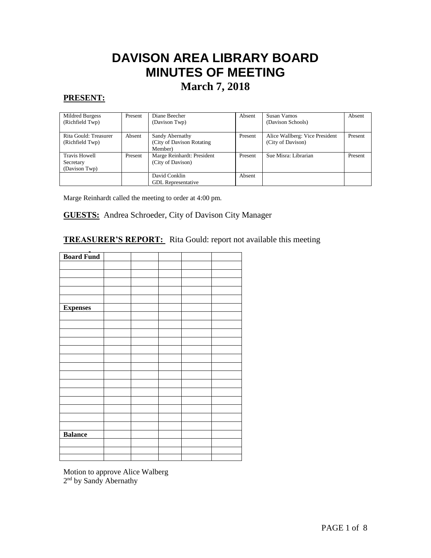# **DAVISON AREA LIBRARY BOARD MINUTES OF MEETING**

# **March 7, 2018**

# **PRESENT:**

| Mildred Burgess       | Present | Diane Beecher              | Absent  | Susan Vamos                    | Absent  |
|-----------------------|---------|----------------------------|---------|--------------------------------|---------|
| (Richfield Twp)       |         | (Davison Twp)              |         | (Davison Schools)              |         |
|                       |         |                            |         |                                |         |
| Rita Gould: Treasurer | Absent  | Sandy Abernathy            | Present | Alice Wallberg: Vice President | Present |
| (Richfield Twp)       |         | (City of Davison Rotating) |         | (City of Davison)              |         |
|                       |         | Member)                    |         |                                |         |
| <b>Travis Howell</b>  | Present | Marge Reinhardt: President | Present | Sue Misra: Librarian           | Present |
| Secretary             |         | (City of Davison)          |         |                                |         |
| (Davison Twp)         |         |                            |         |                                |         |
|                       |         | David Conklin              | Absent  |                                |         |
|                       |         | <b>GDL</b> Representative  |         |                                |         |

Marge Reinhardt called the meeting to order at 4:00 pm.

#### **GUESTS:** Andrea Schroeder, City of Davison City Manager  $\overline{\phantom{a}}$

# **TREASURER'S REPORT:** Rita Gould: report not available this meeting

| <b>Board Fund</b> |  |  |  |
|-------------------|--|--|--|
|                   |  |  |  |
|                   |  |  |  |
|                   |  |  |  |
|                   |  |  |  |
|                   |  |  |  |
| <b>Expenses</b>   |  |  |  |
|                   |  |  |  |
|                   |  |  |  |
|                   |  |  |  |
|                   |  |  |  |
|                   |  |  |  |
|                   |  |  |  |
|                   |  |  |  |
|                   |  |  |  |
|                   |  |  |  |
|                   |  |  |  |
|                   |  |  |  |
|                   |  |  |  |
|                   |  |  |  |
|                   |  |  |  |
| <b>Balance</b>    |  |  |  |
|                   |  |  |  |
|                   |  |  |  |
|                   |  |  |  |

Motion to approve Alice Walberg 2<sup>nd</sup> by Sandy Abernathy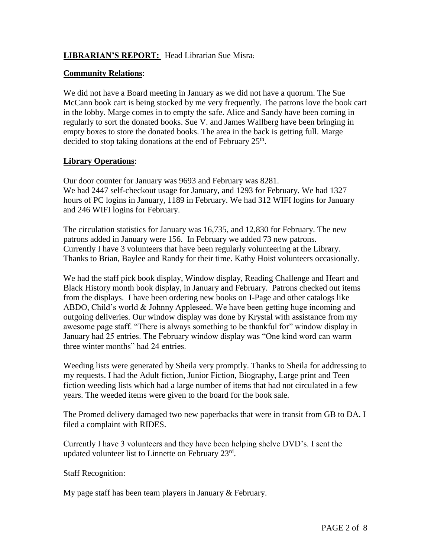#### **LIBRARIAN'S REPORT:** Head Librarian Sue Misra:

#### **Community Relations**:

We did not have a Board meeting in January as we did not have a quorum. The Sue McCann book cart is being stocked by me very frequently. The patrons love the book cart in the lobby. Marge comes in to empty the safe. Alice and Sandy have been coming in regularly to sort the donated books. Sue V. and James Wallberg have been bringing in empty boxes to store the donated books. The area in the back is getting full. Marge decided to stop taking donations at the end of February  $25<sup>th</sup>$ .

# **Library Operations**:

Our door counter for January was 9693 and February was 8281. We had 2447 self-checkout usage for January, and 1293 for February. We had 1327 hours of PC logins in January, 1189 in February. We had 312 WIFI logins for January and 246 WIFI logins for February.

The circulation statistics for January was 16,735, and 12,830 for February. The new patrons added in January were 156. In February we added 73 new patrons. Currently I have 3 volunteers that have been regularly volunteering at the Library. Thanks to Brian, Baylee and Randy for their time. Kathy Hoist volunteers occasionally.

We had the staff pick book display, Window display, Reading Challenge and Heart and Black History month book display, in January and February. Patrons checked out items from the displays. I have been ordering new books on I-Page and other catalogs like ABDO, Child's world & Johnny Appleseed. We have been getting huge incoming and outgoing deliveries. Our window display was done by Krystal with assistance from my awesome page staff. "There is always something to be thankful for" window display in January had 25 entries. The February window display was "One kind word can warm three winter months" had 24 entries.

Weeding lists were generated by Sheila very promptly. Thanks to Sheila for addressing to my requests. I had the Adult fiction, Junior Fiction, Biography, Large print and Teen fiction weeding lists which had a large number of items that had not circulated in a few years. The weeded items were given to the board for the book sale.

The Promed delivery damaged two new paperbacks that were in transit from GB to DA. I filed a complaint with RIDES.

Currently I have 3 volunteers and they have been helping shelve DVD's. I sent the updated volunteer list to Linnette on February 23rd.

Staff Recognition:

My page staff has been team players in January & February.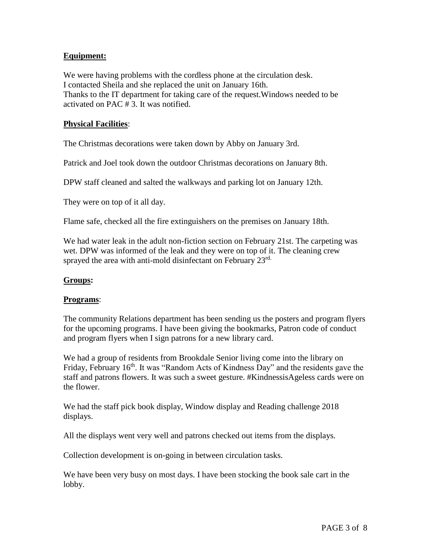#### **Equipment:**

We were having problems with the cordless phone at the circulation desk. I contacted Sheila and she replaced the unit on January 16th. Thanks to the IT department for taking care of the request.Windows needed to be activated on PAC # 3. It was notified.

#### **Physical Facilities**:

The Christmas decorations were taken down by Abby on January 3rd.

Patrick and Joel took down the outdoor Christmas decorations on January 8th.

DPW staff cleaned and salted the walkways and parking lot on January 12th.

They were on top of it all day.

Flame safe, checked all the fire extinguishers on the premises on January 18th.

We had water leak in the adult non-fiction section on February 21st. The carpeting was wet. DPW was informed of the leak and they were on top of it. The cleaning crew sprayed the area with anti-mold disinfectant on February 23rd.

#### **Groups:**

#### **Programs**:

The community Relations department has been sending us the posters and program flyers for the upcoming programs. I have been giving the bookmarks, Patron code of conduct and program flyers when I sign patrons for a new library card.

We had a group of residents from Brookdale Senior living come into the library on Friday, February 16<sup>th</sup>. It was "Random Acts of Kindness Day" and the residents gave the staff and patrons flowers. It was such a sweet gesture. #KindnessisAgeless cards were on the flower.

We had the staff pick book display, Window display and Reading challenge 2018 displays.

All the displays went very well and patrons checked out items from the displays.

Collection development is on-going in between circulation tasks.

We have been very busy on most days. I have been stocking the book sale cart in the lobby.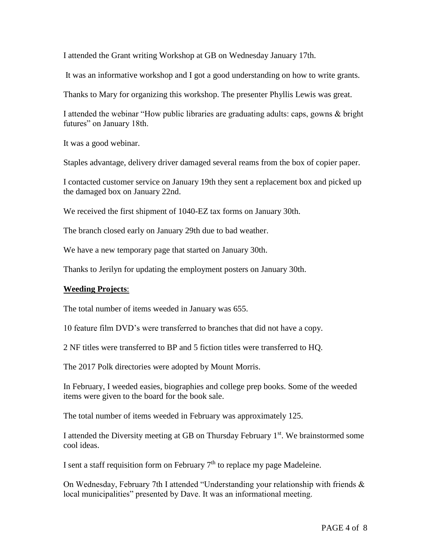I attended the Grant writing Workshop at GB on Wednesday January 17th.

It was an informative workshop and I got a good understanding on how to write grants.

Thanks to Mary for organizing this workshop. The presenter Phyllis Lewis was great.

I attended the webinar "How public libraries are graduating adults: caps, gowns & bright futures" on January 18th.

It was a good webinar.

Staples advantage, delivery driver damaged several reams from the box of copier paper.

I contacted customer service on January 19th they sent a replacement box and picked up the damaged box on January 22nd.

We received the first shipment of 1040-EZ tax forms on January 30th.

The branch closed early on January 29th due to bad weather.

We have a new temporary page that started on January 30th.

Thanks to Jerilyn for updating the employment posters on January 30th.

#### **Weeding Projects**:

The total number of items weeded in January was 655.

10 feature film DVD's were transferred to branches that did not have a copy.

2 NF titles were transferred to BP and 5 fiction titles were transferred to HQ.

The 2017 Polk directories were adopted by Mount Morris.

In February, I weeded easies, biographies and college prep books. Some of the weeded items were given to the board for the book sale.

The total number of items weeded in February was approximately 125.

I attended the Diversity meeting at GB on Thursday February  $1<sup>st</sup>$ . We brainstormed some cool ideas.

I sent a staff requisition form on February  $7<sup>th</sup>$  to replace my page Madeleine.

On Wednesday, February 7th I attended "Understanding your relationship with friends & local municipalities" presented by Dave. It was an informational meeting.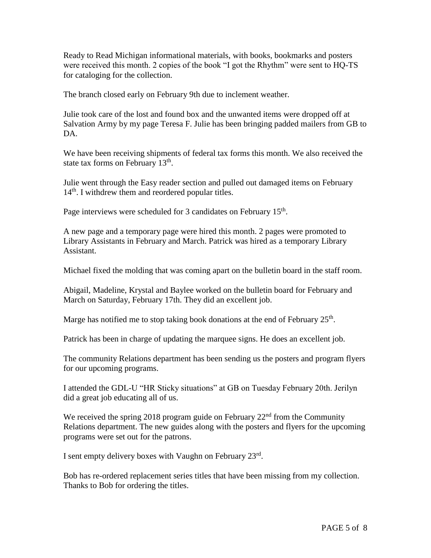Ready to Read Michigan informational materials, with books, bookmarks and posters were received this month. 2 copies of the book "I got the Rhythm" were sent to HQ-TS for cataloging for the collection.

The branch closed early on February 9th due to inclement weather.

Julie took care of the lost and found box and the unwanted items were dropped off at Salvation Army by my page Teresa F. Julie has been bringing padded mailers from GB to DA.

We have been receiving shipments of federal tax forms this month. We also received the state tax forms on February  $13<sup>th</sup>$ .

Julie went through the Easy reader section and pulled out damaged items on February  $14<sup>th</sup>$ . I withdrew them and reordered popular titles.

Page interviews were scheduled for 3 candidates on February 15<sup>th</sup>.

A new page and a temporary page were hired this month. 2 pages were promoted to Library Assistants in February and March. Patrick was hired as a temporary Library Assistant.

Michael fixed the molding that was coming apart on the bulletin board in the staff room.

Abigail, Madeline, Krystal and Baylee worked on the bulletin board for February and March on Saturday, February 17th. They did an excellent job.

Marge has notified me to stop taking book donations at the end of February  $25<sup>th</sup>$ .

Patrick has been in charge of updating the marquee signs. He does an excellent job.

The community Relations department has been sending us the posters and program flyers for our upcoming programs.

I attended the GDL-U "HR Sticky situations" at GB on Tuesday February 20th. Jerilyn did a great job educating all of us.

We received the spring 2018 program guide on February  $22<sup>nd</sup>$  from the Community Relations department. The new guides along with the posters and flyers for the upcoming programs were set out for the patrons.

I sent empty delivery boxes with Vaughn on February 23rd.

Bob has re-ordered replacement series titles that have been missing from my collection. Thanks to Bob for ordering the titles.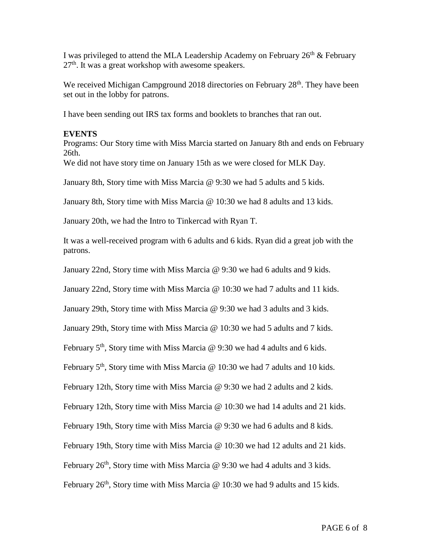I was privileged to attend the MLA Leadership Academy on February  $26<sup>th</sup>$  & February  $27<sup>th</sup>$ . It was a great workshop with awesome speakers.

We received Michigan Campground 2018 directories on February 28<sup>th</sup>. They have been set out in the lobby for patrons.

I have been sending out IRS tax forms and booklets to branches that ran out.

#### **EVENTS**

Programs: Our Story time with Miss Marcia started on January 8th and ends on February 26th.

We did not have story time on January 15th as we were closed for MLK Day.

January 8th, Story time with Miss Marcia @ 9:30 we had 5 adults and 5 kids.

January 8th, Story time with Miss Marcia @ 10:30 we had 8 adults and 13 kids.

January 20th, we had the Intro to Tinkercad with Ryan T.

It was a well-received program with 6 adults and 6 kids. Ryan did a great job with the patrons.

January 22nd, Story time with Miss Marcia @ 9:30 we had 6 adults and 9 kids.

January 22nd, Story time with Miss Marcia @ 10:30 we had 7 adults and 11 kids.

January 29th, Story time with Miss Marcia @ 9:30 we had 3 adults and 3 kids.

January 29th, Story time with Miss Marcia @ 10:30 we had 5 adults and 7 kids.

February  $5<sup>th</sup>$ , Story time with Miss Marcia @ 9:30 we had 4 adults and 6 kids.

February  $5<sup>th</sup>$ , Story time with Miss Marcia @ 10:30 we had 7 adults and 10 kids.

February 12th, Story time with Miss Marcia @ 9:30 we had 2 adults and 2 kids.

February 12th, Story time with Miss Marcia @ 10:30 we had 14 adults and 21 kids.

February 19th, Story time with Miss Marcia @ 9:30 we had 6 adults and 8 kids.

February 19th, Story time with Miss Marcia @ 10:30 we had 12 adults and 21 kids.

February  $26<sup>th</sup>$ , Story time with Miss Marcia @ 9:30 we had 4 adults and 3 kids.

February  $26<sup>th</sup>$ , Story time with Miss Marcia @ 10:30 we had 9 adults and 15 kids.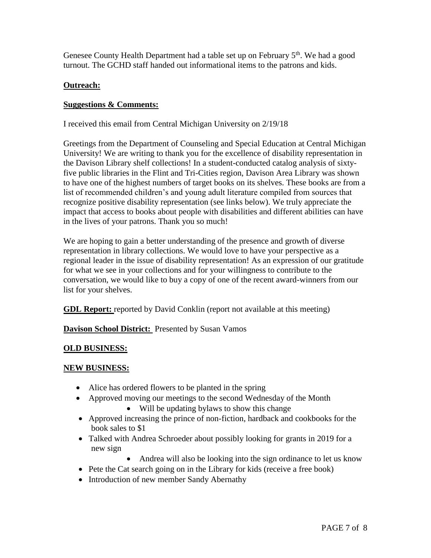Genesee County Health Department had a table set up on February  $5<sup>th</sup>$ . We had a good turnout. The GCHD staff handed out informational items to the patrons and kids.

# **Outreach:**

#### **Suggestions & Comments:**

I received this email from Central Michigan University on 2/19/18

Greetings from the Department of Counseling and Special Education at Central Michigan University! We are writing to thank you for the excellence of disability representation in the Davison Library shelf collections! In a student-conducted catalog analysis of sixtyfive public libraries in the Flint and Tri-Cities region, Davison Area Library was shown to have one of the highest numbers of target books on its shelves. These books are from a list of recommended children's and young adult literature compiled from sources that recognize positive disability representation (see links below). We truly appreciate the impact that access to books about people with disabilities and different abilities can have in the lives of your patrons. Thank you so much!

We are hoping to gain a better understanding of the presence and growth of diverse representation in library collections. We would love to have your perspective as a regional leader in the issue of disability representation! As an expression of our gratitude for what we see in your collections and for your willingness to contribute to the conversation, we would like to buy a copy of one of the recent award-winners from our list for your shelves.

**GDL Report:** reported by David Conklin (report not available at this meeting)

**Davison School District:** Presented by Susan Vamos

#### **OLD BUSINESS:**

#### **NEW BUSINESS:**

- Alice has ordered flowers to be planted in the spring
- Approved moving our meetings to the second Wednesday of the Month
	- Will be updating bylaws to show this change
- Approved increasing the prince of non-fiction, hardback and cookbooks for the book sales to \$1
- Talked with Andrea Schroeder about possibly looking for grants in 2019 for a new sign
	- Andrea will also be looking into the sign ordinance to let us know
- Pete the Cat search going on in the Library for kids (receive a free book)
- Introduction of new member Sandy Abernathy